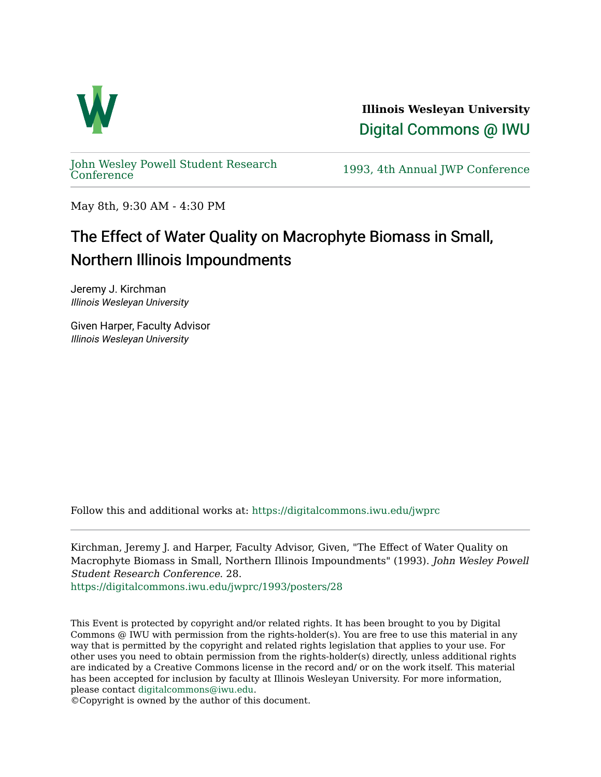

**Illinois Wesleyan University**  [Digital Commons @ IWU](https://digitalcommons.iwu.edu/) 

[John Wesley Powell Student Research](https://digitalcommons.iwu.edu/jwprc) 

1993, 4th Annual JWP [Conference](https://digitalcommons.iwu.edu/jwprc)

May 8th, 9:30 AM - 4:30 PM

## The Effect of Water Quality on Macrophyte Biomass in Small, Northern Illinois Impoundments

Jeremy J. Kirchman Illinois Wesleyan University

Given Harper, Faculty Advisor Illinois Wesleyan University

Follow this and additional works at: [https://digitalcommons.iwu.edu/jwprc](https://digitalcommons.iwu.edu/jwprc?utm_source=digitalcommons.iwu.edu%2Fjwprc%2F1993%2Fposters%2F28&utm_medium=PDF&utm_campaign=PDFCoverPages) 

Kirchman, Jeremy J. and Harper, Faculty Advisor, Given, "The Effect of Water Quality on Macrophyte Biomass in Small, Northern Illinois Impoundments" (1993). John Wesley Powell Student Research Conference. 28.

[https://digitalcommons.iwu.edu/jwprc/1993/posters/28](https://digitalcommons.iwu.edu/jwprc/1993/posters/28?utm_source=digitalcommons.iwu.edu%2Fjwprc%2F1993%2Fposters%2F28&utm_medium=PDF&utm_campaign=PDFCoverPages)

This Event is protected by copyright and/or related rights. It has been brought to you by Digital Commons @ IWU with permission from the rights-holder(s). You are free to use this material in any way that is permitted by the copyright and related rights legislation that applies to your use. For other uses you need to obtain permission from the rights-holder(s) directly, unless additional rights are indicated by a Creative Commons license in the record and/ or on the work itself. This material has been accepted for inclusion by faculty at Illinois Wesleyan University. For more information, please contact [digitalcommons@iwu.edu.](mailto:digitalcommons@iwu.edu)

©Copyright is owned by the author of this document.